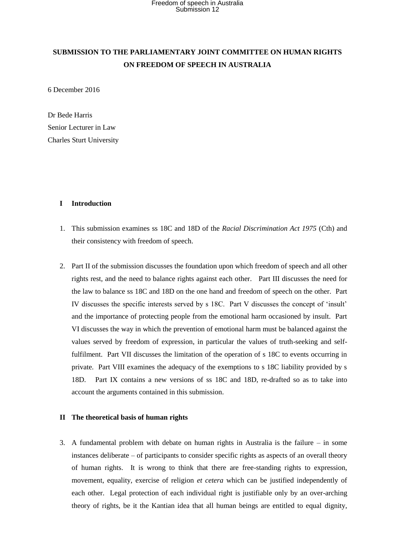### **SUBMISSION TO THE PARLIAMENTARY JOINT COMMITTEE ON HUMAN RIGHTS ON FREEDOM OF SPEECH IN AUSTRALIA**

6 December 2016

Dr Bede Harris Senior Lecturer in Law Charles Sturt University

### **I Introduction**

- 1. This submission examines ss 18C and 18D of the *Racial Discrimination Act 1975* (Cth) and their consistency with freedom of speech.
- 2. Part II of the submission discusses the foundation upon which freedom of speech and all other rights rest, and the need to balance rights against each other. Part III discusses the need for the law to balance ss 18C and 18D on the one hand and freedom of speech on the other. Part IV discusses the specific interests served by s 18C. Part V discusses the concept of 'insult' and the importance of protecting people from the emotional harm occasioned by insult. Part VI discusses the way in which the prevention of emotional harm must be balanced against the values served by freedom of expression, in particular the values of truth-seeking and selffulfilment. Part VII discusses the limitation of the operation of s 18C to events occurring in private. Part VIII examines the adequacy of the exemptions to s 18C liability provided by s 18D. Part IX contains a new versions of ss 18C and 18D, re-drafted so as to take into account the arguments contained in this submission.

### **II The theoretical basis of human rights**

3. A fundamental problem with debate on human rights in Australia is the failure – in some instances deliberate – of participants to consider specific rights as aspects of an overall theory of human rights. It is wrong to think that there are free-standing rights to expression, movement, equality, exercise of religion *et cetera* which can be justified independently of each other. Legal protection of each individual right is justifiable only by an over-arching theory of rights, be it the Kantian idea that all human beings are entitled to equal dignity,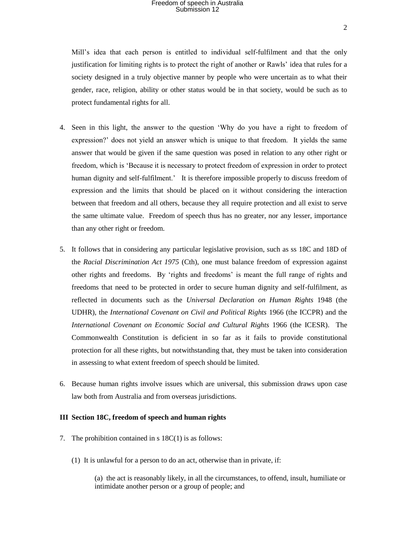Mill's idea that each person is entitled to individual self-fulfilment and that the only justification for limiting rights is to protect the right of another or Rawls' idea that rules for a society designed in a truly objective manner by people who were uncertain as to what their gender, race, religion, ability or other status would be in that society, would be such as to protect fundamental rights for all.

- 4. Seen in this light, the answer to the question 'Why do you have a right to freedom of expression?' does not yield an answer which is unique to that freedom. It yields the same answer that would be given if the same question was posed in relation to any other right or freedom, which is 'Because it is necessary to protect freedom of expression in order to protect human dignity and self-fulfilment.' It is therefore impossible properly to discuss freedom of expression and the limits that should be placed on it without considering the interaction between that freedom and all others, because they all require protection and all exist to serve the same ultimate value. Freedom of speech thus has no greater, nor any lesser, importance than any other right or freedom.
- 5. It follows that in considering any particular legislative provision, such as ss 18C and 18D of the *Racial Discrimination Act 1975* (Cth), one must balance freedom of expression against other rights and freedoms. By 'rights and freedoms' is meant the full range of rights and freedoms that need to be protected in order to secure human dignity and self-fulfilment, as reflected in documents such as the *Universal Declaration on Human Rights* 1948 (the UDHR), the *International Covenant on Civil and Political Rights* 1966 (the ICCPR) and the *International Covenant on Economic Social and Cultural Rights* 1966 (the ICESR). The Commonwealth Constitution is deficient in so far as it fails to provide constitutional protection for all these rights, but notwithstanding that, they must be taken into consideration in assessing to what extent freedom of speech should be limited.
- 6. Because human rights involve issues which are universal, this submission draws upon case law both from Australia and from overseas jurisdictions.

### **III Section 18C, freedom of speech and human rights**

- 7. The prohibition contained in s 18C(1) is as follows:
	- (1) It is unlawful for a person to do an act, otherwise than in private, if:

(a) the act is reasonably likely, in all the circumstances, to offend, insult, humiliate or intimidate another person or a group of people; and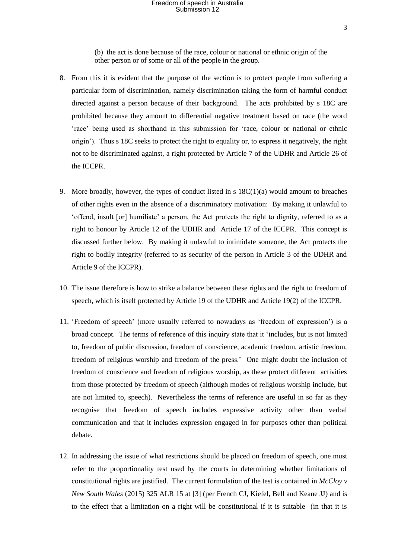3

(b) the act is done because of the race, colour or national or ethnic origin of the other person or of some or all of the people in the group.

- 8. From this it is evident that the purpose of the section is to protect people from suffering a particular form of discrimination, namely discrimination taking the form of harmful conduct directed against a person because of their background. The acts prohibited by s 18C are prohibited because they amount to differential negative treatment based on race (the word 'race' being used as shorthand in this submission for 'race, colour or national or ethnic origin'). Thus s 18C seeks to protect the right to equality or, to express it negatively, the right not to be discriminated against, a right protected by Article 7 of the UDHR and Article 26 of the ICCPR.
- 9. More broadly, however, the types of conduct listed in s  $18C(1)(a)$  would amount to breaches of other rights even in the absence of a discriminatory motivation: By making it unlawful to 'offend, insult [or] humiliate' a person, the Act protects the right to dignity, referred to as a right to honour by Article 12 of the UDHR and Article 17 of the ICCPR. This concept is discussed further below. By making it unlawful to intimidate someone, the Act protects the right to bodily integrity (referred to as security of the person in Article 3 of the UDHR and Article 9 of the ICCPR).
- 10. The issue therefore is how to strike a balance between these rights and the right to freedom of speech, which is itself protected by Article 19 of the UDHR and Article 19(2) of the ICCPR.
- 11. 'Freedom of speech' (more usually referred to nowadays as 'freedom of expression') is a broad concept. The terms of reference of this inquiry state that it 'includes, but is not limited to, freedom of public discussion, freedom of conscience, academic freedom, artistic freedom, freedom of religious worship and freedom of the press.' One might doubt the inclusion of freedom of conscience and freedom of religious worship, as these protect different activities from those protected by freedom of speech (although modes of religious worship include, but are not limited to, speech). Nevertheless the terms of reference are useful in so far as they recognise that freedom of speech includes expressive activity other than verbal communication and that it includes expression engaged in for purposes other than political debate.
- 12. In addressing the issue of what restrictions should be placed on freedom of speech, one must refer to the proportionality test used by the courts in determining whether limitations of constitutional rights are justified. The current formulation of the test is contained in *McCloy v New South Wales* (2015) 325 ALR 15 at [3] (per French CJ, Kiefel, Bell and Keane JJ) and is to the effect that a limitation on a right will be constitutional if it is suitable (in that it is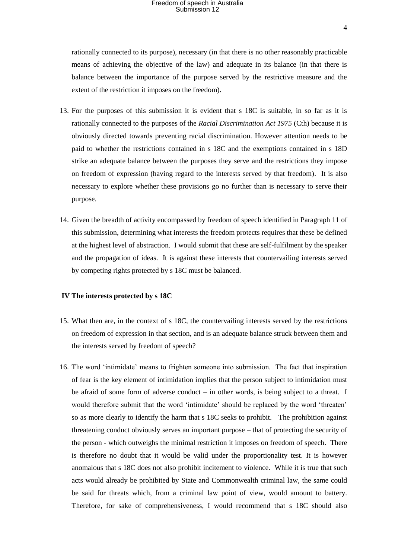rationally connected to its purpose), necessary (in that there is no other reasonably practicable means of achieving the objective of the law) and adequate in its balance (in that there is balance between the importance of the purpose served by the restrictive measure and the extent of the restriction it imposes on the freedom).

- 13. For the purposes of this submission it is evident that s 18C is suitable, in so far as it is rationally connected to the purposes of the *Racial Discrimination Act 1975* (Cth) because it is obviously directed towards preventing racial discrimination. However attention needs to be paid to whether the restrictions contained in s 18C and the exemptions contained in s 18D strike an adequate balance between the purposes they serve and the restrictions they impose on freedom of expression (having regard to the interests served by that freedom). It is also necessary to explore whether these provisions go no further than is necessary to serve their purpose.
- 14. Given the breadth of activity encompassed by freedom of speech identified in Paragraph 11 of this submission, determining what interests the freedom protects requires that these be defined at the highest level of abstraction. I would submit that these are self-fulfilment by the speaker and the propagation of ideas. It is against these interests that countervailing interests served by competing rights protected by s 18C must be balanced.

#### **IV The interests protected by s 18C**

- 15. What then are, in the context of s 18C, the countervailing interests served by the restrictions on freedom of expression in that section, and is an adequate balance struck between them and the interests served by freedom of speech?
- 16. The word 'intimidate' means to frighten someone into submission. The fact that inspiration of fear is the key element of intimidation implies that the person subject to intimidation must be afraid of some form of adverse conduct – in other words, is being subject to a threat. I would therefore submit that the word 'intimidate' should be replaced by the word 'threaten' so as more clearly to identify the harm that s 18C seeks to prohibit. The prohibition against threatening conduct obviously serves an important purpose – that of protecting the security of the person - which outweighs the minimal restriction it imposes on freedom of speech. There is therefore no doubt that it would be valid under the proportionality test. It is however anomalous that s 18C does not also prohibit incitement to violence. While it is true that such acts would already be prohibited by State and Commonwealth criminal law, the same could be said for threats which, from a criminal law point of view, would amount to battery. Therefore, for sake of comprehensiveness, I would recommend that s 18C should also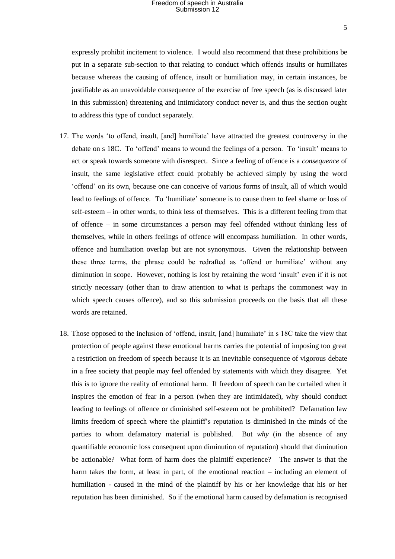expressly prohibit incitement to violence. I would also recommend that these prohibitions be put in a separate sub-section to that relating to conduct which offends insults or humiliates because whereas the causing of offence, insult or humiliation may, in certain instances, be justifiable as an unavoidable consequence of the exercise of free speech (as is discussed later in this submission) threatening and intimidatory conduct never is, and thus the section ought to address this type of conduct separately.

- 17. The words 'to offend, insult, [and] humiliate' have attracted the greatest controversy in the debate on s 18C. To 'offend' means to wound the feelings of a person. To 'insult' means to act or speak towards someone with disrespect. Since a feeling of offence is a *consequence* of insult, the same legislative effect could probably be achieved simply by using the word 'offend' on its own, because one can conceive of various forms of insult, all of which would lead to feelings of offence. To 'humiliate' someone is to cause them to feel shame or loss of self-esteem – in other words, to think less of themselves. This is a different feeling from that of offence – in some circumstances a person may feel offended without thinking less of themselves, while in others feelings of offence will encompass humiliation. In other words, offence and humiliation overlap but are not synonymous. Given the relationship between these three terms, the phrase could be redrafted as 'offend or humiliate' without any diminution in scope. However, nothing is lost by retaining the word 'insult' even if it is not strictly necessary (other than to draw attention to what is perhaps the commonest way in which speech causes offence), and so this submission proceeds on the basis that all these words are retained.
- 18. Those opposed to the inclusion of 'offend, insult, [and] humiliate' in s 18C take the view that protection of people against these emotional harms carries the potential of imposing too great a restriction on freedom of speech because it is an inevitable consequence of vigorous debate in a free society that people may feel offended by statements with which they disagree. Yet this is to ignore the reality of emotional harm. If freedom of speech can be curtailed when it inspires the emotion of fear in a person (when they are intimidated), why should conduct leading to feelings of offence or diminished self-esteem not be prohibited? Defamation law limits freedom of speech where the plaintiff's reputation is diminished in the minds of the parties to whom defamatory material is published. But *why* (in the absence of any quantifiable economic loss consequent upon diminution of reputation) should that diminution be actionable? What form of harm does the plaintiff experience? The answer is that the harm takes the form, at least in part, of the emotional reaction – including an element of humiliation - caused in the mind of the plaintiff by his or her knowledge that his or her reputation has been diminished. So if the emotional harm caused by defamation is recognised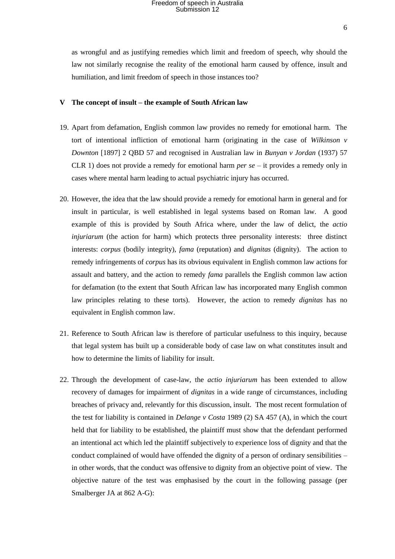as wrongful and as justifying remedies which limit and freedom of speech, why should the law not similarly recognise the reality of the emotional harm caused by offence, insult and humiliation, and limit freedom of speech in those instances too?

### **V The concept of insult – the example of South African law**

- 19. Apart from defamation, English common law provides no remedy for emotional harm. The tort of intentional infliction of emotional harm (originating in the case of *Wilkinson v Downton* [1897] 2 QBD 57 and recognised in Australian law in *Bunyan v Jordan* (1937) 57 CLR 1) does not provide a remedy for emotional harm *per se* – it provides a remedy only in cases where mental harm leading to actual psychiatric injury has occurred.
- 20. However, the idea that the law should provide a remedy for emotional harm in general and for insult in particular, is well established in legal systems based on Roman law. A good example of this is provided by South Africa where, under the law of delict, the *actio injuriarum* (the action for harm) which protects three personality interests: three distinct interests: *corpus* (bodily integrity), *fama* (reputation) and *dignitas* (dignity). The action to remedy infringements of *corpus* has its obvious equivalent in English common law actions for assault and battery, and the action to remedy *fama* parallels the English common law action for defamation (to the extent that South African law has incorporated many English common law principles relating to these torts). However, the action to remedy *dignitas* has no equivalent in English common law.
- 21. Reference to South African law is therefore of particular usefulness to this inquiry, because that legal system has built up a considerable body of case law on what constitutes insult and how to determine the limits of liability for insult.
- 22. Through the development of case-law, the *actio injuriarum* has been extended to allow recovery of damages for impairment of *dignitas* in a wide range of circumstances, including breaches of privacy and, relevantly for this discussion, insult. The most recent formulation of the test for liability is contained in *Delange v Costa* 1989 (2) SA 457 (A), in which the court held that for liability to be established, the plaintiff must show that the defendant performed an intentional act which led the plaintiff subjectively to experience loss of dignity and that the conduct complained of would have offended the dignity of a person of ordinary sensibilities – in other words, that the conduct was offensive to dignity from an objective point of view. The objective nature of the test was emphasised by the court in the following passage (per Smalberger JA at 862 A-G):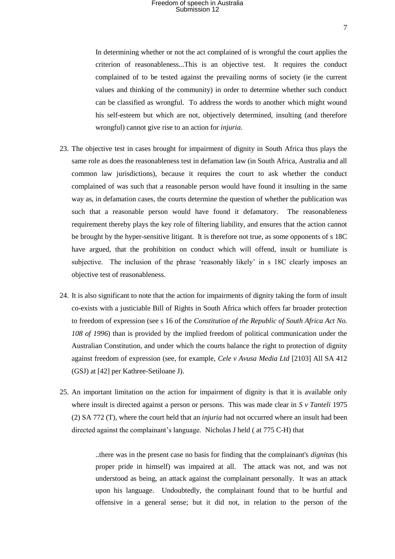In determining whether or not the act complained of is wrongful the court applies the criterion of reasonableness...This is an objective test. It requires the conduct complained of to be tested against the prevailing norms of society (ie the current values and thinking of the community) in order to determine whether such conduct can be classified as wrongful. To address the words to another which might wound his self-esteem but which are not, objectively determined, insulting (and therefore wrongful) cannot give rise to an action for *injuria*.

- 23. The objective test in cases brought for impairment of dignity in South Africa thus plays the same role as does the reasonableness test in defamation law (in South Africa, Australia and all common law jurisdictions), because it requires the court to ask whether the conduct complained of was such that a reasonable person would have found it insulting in the same way as, in defamation cases, the courts determine the question of whether the publication was such that a reasonable person would have found it defamatory. The reasonableness requirement thereby plays the key role of filtering liability, and ensures that the action cannot be brought by the hyper-sensitive litigant. It is therefore not true, as some opponents of s 18C have argued, that the prohibition on conduct which will offend, insult or humiliate is subjective. The inclusion of the phrase 'reasonably likely' in s 18C clearly imposes an objective test of reasonableness.
- 24. It is also significant to note that the action for impairments of dignity taking the form of insult co-exists with a justiciable Bill of Rights in South Africa which offers far broader protection to freedom of expression (see s 16 of the *Constitution of the Republic of South Africa Act No. 108 of 1996*) than is provided by the implied freedom of political communication under the Australian Constitution, and under which the courts balance the right to protection of dignity against freedom of expression (see, for example, *Cele v Avusa Media Ltd* [2103] All SA 412 (GSJ) at [42] per Kathree-Setiloane J).
- 25. An important limitation on the action for impairment of dignity is that it is available only where insult is directed against a person or persons. This was made clear in *S v Tanteli* 1975 (2) SA 772 (T), where the court held that an *injuria* had not occurred where an insult had been directed against the complainant's language. Nicholas J held ( at 775 C-H) that

..there was in the present case no basis for finding that the complainant's *dignitas* (his proper pride in himself) was impaired at all. The attack was not, and was not understood as being, an attack against the complainant personally. It was an attack upon his language. Undoubtedly, the complainant found that to be hurtful and offensive in a general sense; but it did not, in relation to the person of the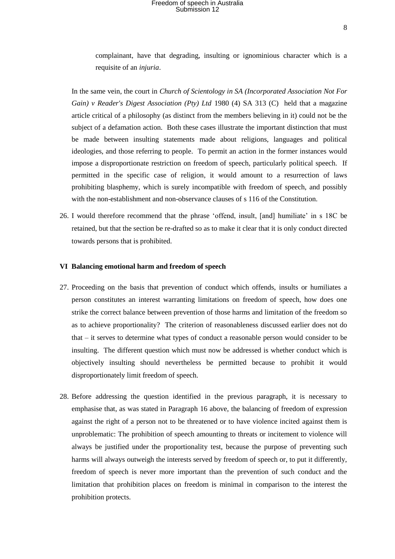complainant, have that degrading, insulting or ignominious character which is a requisite of an *injuria*.

In the same vein, the court in *Church of Scientology in SA (Incorporated Association Not For Gain) v Reader's Digest Association (Pty) Ltd* 1980 (4) SA 313 (C) held that a magazine article critical of a philosophy (as distinct from the members believing in it) could not be the subject of a defamation action. Both these cases illustrate the important distinction that must be made between insulting statements made about religions, languages and political ideologies, and those referring to people. To permit an action in the former instances would impose a disproportionate restriction on freedom of speech, particularly political speech. If permitted in the specific case of religion, it would amount to a resurrection of laws prohibiting blasphemy, which is surely incompatible with freedom of speech, and possibly with the non-establishment and non-observance clauses of s 116 of the Constitution.

26. I would therefore recommend that the phrase 'offend, insult, [and] humiliate' in s 18C be retained, but that the section be re-drafted so as to make it clear that it is only conduct directed towards persons that is prohibited.

#### **VI Balancing emotional harm and freedom of speech**

- 27. Proceeding on the basis that prevention of conduct which offends, insults or humiliates a person constitutes an interest warranting limitations on freedom of speech, how does one strike the correct balance between prevention of those harms and limitation of the freedom so as to achieve proportionality? The criterion of reasonableness discussed earlier does not do that – it serves to determine what types of conduct a reasonable person would consider to be insulting. The different question which must now be addressed is whether conduct which is objectively insulting should nevertheless be permitted because to prohibit it would disproportionately limit freedom of speech.
- 28. Before addressing the question identified in the previous paragraph, it is necessary to emphasise that, as was stated in Paragraph 16 above, the balancing of freedom of expression against the right of a person not to be threatened or to have violence incited against them is unproblematic: The prohibition of speech amounting to threats or incitement to violence will always be justified under the proportionality test, because the purpose of preventing such harms will always outweigh the interests served by freedom of speech or, to put it differently, freedom of speech is never more important than the prevention of such conduct and the limitation that prohibition places on freedom is minimal in comparison to the interest the prohibition protects.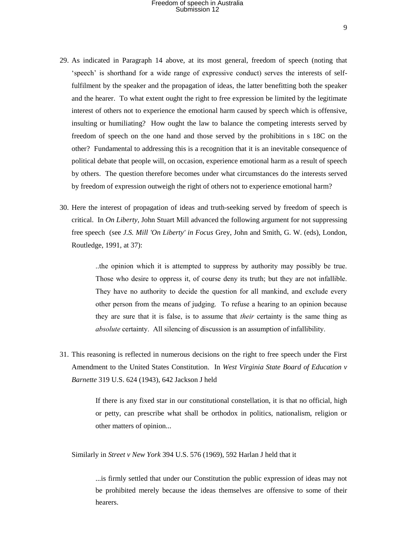- 29. As indicated in Paragraph 14 above, at its most general, freedom of speech (noting that 'speech' is shorthand for a wide range of expressive conduct) serves the interests of selffulfilment by the speaker and the propagation of ideas, the latter benefitting both the speaker and the hearer. To what extent ought the right to free expression be limited by the legitimate interest of others not to experience the emotional harm caused by speech which is offensive, insulting or humiliating? How ought the law to balance the competing interests served by freedom of speech on the one hand and those served by the prohibitions in s 18C on the other? Fundamental to addressing this is a recognition that it is an inevitable consequence of political debate that people will, on occasion, experience emotional harm as a result of speech by others. The question therefore becomes under what circumstances do the interests served by freedom of expression outweigh the right of others not to experience emotional harm?
- 30. Here the interest of propagation of ideas and truth-seeking served by freedom of speech is critical. In *On Liberty,* John Stuart Mill advanced the following argument for not suppressing free speech (see *J.S. Mill 'On Liberty' in Focus* Grey, John and Smith, G. W. (eds), London, Routledge, 1991, at 37):

..the opinion which it is attempted to suppress by authority may possibly be true. Those who desire to oppress it, of course deny its truth; but they are not infallible. They have no authority to decide the question for all mankind, and exclude every other person from the means of judging. To refuse a hearing to an opinion because they are sure that it is false, is to assume that *their* certainty is the same thing as *absolute* certainty. All silencing of discussion is an assumption of infallibility.

31. This reasoning is reflected in numerous decisions on the right to free speech under the First Amendment to the United States Constitution. In *West Virginia State Board of Education v Barnette* 319 U.S. 624 (1943), 642 Jackson J held

> If there is any fixed star in our constitutional constellation, it is that no official, high or petty, can prescribe what shall be orthodox in politics, nationalism, religion or other matters of opinion...

Similarly in *Street v New York* 394 U.S. 576 (1969), 592 Harlan J held that it

...is firmly settled that under our Constitution the public expression of ideas may not be prohibited merely because the ideas themselves are offensive to some of their hearers.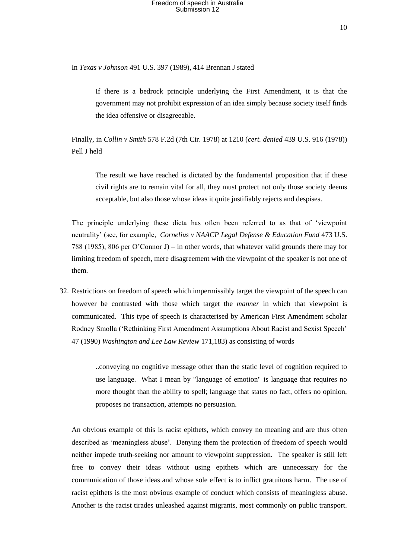In *Texas v Johnson* 491 U.S. 397 (1989), 414 Brennan J stated

If there is a bedrock principle underlying the First Amendment, it is that the government may not prohibit expression of an idea simply because society itself finds the idea offensive or disagreeable.

Finally, in *Collin v Smith* 578 F.2d (7th Cir. 1978) at 1210 (*cert. denied* 439 U.S. 916 (1978)) Pell J held

The result we have reached is dictated by the fundamental proposition that if these civil rights are to remain vital for all, they must protect not only those society deems acceptable, but also those whose ideas it quite justifiably rejects and despises.

The principle underlying these dicta has often been referred to as that of 'viewpoint neutrality' (see, for example, *Cornelius v NAACP Legal Defense & Education Fund* 473 U.S. 788 (1985), 806 per O'Connor J) – in other words, that whatever valid grounds there may for limiting freedom of speech, mere disagreement with the viewpoint of the speaker is not one of them.

32. Restrictions on freedom of speech which impermissibly target the viewpoint of the speech can however be contrasted with those which target the *manner* in which that viewpoint is communicated. This type of speech is characterised by American First Amendment scholar Rodney Smolla ('Rethinking First Amendment Assumptions About Racist and Sexist Speech' 47 (1990) *Washington and Lee Law Review* 171,183) as consisting of words

> ..conveying no cognitive message other than the static level of cognition required to use language. What I mean by "language of emotion" is language that requires no more thought than the ability to spell; language that states no fact, offers no opinion, proposes no transaction, attempts no persuasion.

An obvious example of this is racist epithets, which convey no meaning and are thus often described as 'meaningless abuse'. Denying them the protection of freedom of speech would neither impede truth-seeking nor amount to viewpoint suppression. The speaker is still left free to convey their ideas without using epithets which are unnecessary for the communication of those ideas and whose sole effect is to inflict gratuitous harm. The use of racist epithets is the most obvious example of conduct which consists of meaningless abuse. Another is the racist tirades unleashed against migrants, most commonly on public transport.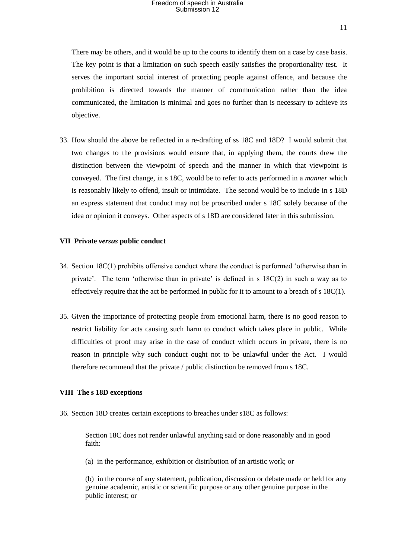There may be others, and it would be up to the courts to identify them on a case by case basis. The key point is that a limitation on such speech easily satisfies the proportionality test. It serves the important social interest of protecting people against offence, and because the prohibition is directed towards the manner of communication rather than the idea communicated, the limitation is minimal and goes no further than is necessary to achieve its objective.

33. How should the above be reflected in a re-drafting of ss 18C and 18D? I would submit that two changes to the provisions would ensure that, in applying them, the courts drew the distinction between the viewpoint of speech and the manner in which that viewpoint is conveyed. The first change, in s 18C, would be to refer to acts performed in a *manner* which is reasonably likely to offend, insult or intimidate. The second would be to include in s 18D an express statement that conduct may not be proscribed under s 18C solely because of the idea or opinion it conveys. Other aspects of s 18D are considered later in this submission.

### **VII Private** *versus* **public conduct**

- 34. Section 18C(1) prohibits offensive conduct where the conduct is performed 'otherwise than in private'. The term 'otherwise than in private' is defined in s 18C(2) in such a way as to effectively require that the act be performed in public for it to amount to a breach of s  $18C(1)$ .
- 35. Given the importance of protecting people from emotional harm, there is no good reason to restrict liability for acts causing such harm to conduct which takes place in public. While difficulties of proof may arise in the case of conduct which occurs in private, there is no reason in principle why such conduct ought not to be unlawful under the Act. I would therefore recommend that the private / public distinction be removed from s 18C.

### **VIII The s 18D exceptions**

36. Section 18D creates certain exceptions to breaches under s18C as follows:

Section 18C does not render unlawful anything said or done reasonably and in good faith:

(a) in the performance, exhibition or distribution of an artistic work; or

(b) in the course of any statement, publication, discussion or debate made or held for any genuine academic, artistic or scientific purpose or any other genuine purpose in the public interest; or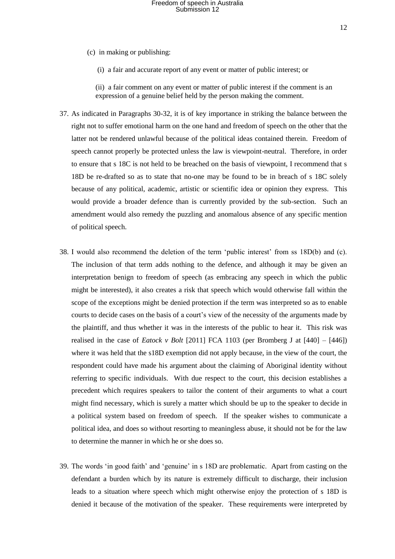- (c) in making or publishing:
	- (i) a fair and accurate report of any event or matter of public interest; or

(ii) a fair comment on any event or matter of public interest if the comment is an expression of a genuine belief held by the person making the comment.

- 37. As indicated in Paragraphs 30-32, it is of key importance in striking the balance between the right not to suffer emotional harm on the one hand and freedom of speech on the other that the latter not be rendered unlawful because of the political ideas contained therein. Freedom of speech cannot properly be protected unless the law is viewpoint-neutral. Therefore, in order to ensure that s 18C is not held to be breached on the basis of viewpoint, I recommend that s 18D be re-drafted so as to state that no-one may be found to be in breach of s 18C solely because of any political, academic, artistic or scientific idea or opinion they express. This would provide a broader defence than is currently provided by the sub-section. Such an amendment would also remedy the puzzling and anomalous absence of any specific mention of political speech.
- 38. I would also recommend the deletion of the term 'public interest' from ss 18D(b) and (c). The inclusion of that term adds nothing to the defence, and although it may be given an interpretation benign to freedom of speech (as embracing any speech in which the public might be interested), it also creates a risk that speech which would otherwise fall within the scope of the exceptions might be denied protection if the term was interpreted so as to enable courts to decide cases on the basis of a court's view of the necessity of the arguments made by the plaintiff, and thus whether it was in the interests of the public to hear it. This risk was realised in the case of *Eatock v Bolt* [2011] FCA 1103 (per Bromberg J at  $[440] - [446]$ ) where it was held that the s18D exemption did not apply because, in the view of the court, the respondent could have made his argument about the claiming of Aboriginal identity without referring to specific individuals. With due respect to the court, this decision establishes a precedent which requires speakers to tailor the content of their arguments to what a court might find necessary, which is surely a matter which should be up to the speaker to decide in a political system based on freedom of speech. If the speaker wishes to communicate a political idea, and does so without resorting to meaningless abuse, it should not be for the law to determine the manner in which he or she does so.
- 39. The words 'in good faith' and 'genuine' in s 18D are problematic. Apart from casting on the defendant a burden which by its nature is extremely difficult to discharge, their inclusion leads to a situation where speech which might otherwise enjoy the protection of s 18D is denied it because of the motivation of the speaker. These requirements were interpreted by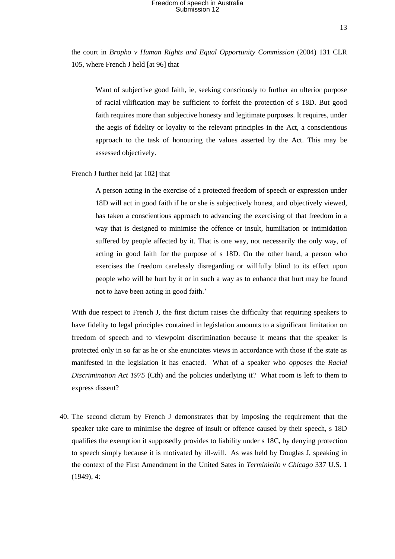the court in *Bropho v Human Rights and Equal Opportunity Commission* (2004) 131 CLR 105, where French J held [at 96] that

Want of subjective good faith, ie, seeking consciously to further an ulterior purpose of racial vilification may be sufficient to forfeit the protection of s 18D. But good faith requires more than subjective honesty and legitimate purposes. It requires, under the aegis of fidelity or loyalty to the relevant principles in the Act, a conscientious approach to the task of honouring the values asserted by the Act. This may be assessed objectively.

French J further held [at 102] that

A person acting in the exercise of a protected freedom of speech or expression under 18D will act in good faith if he or she is subjectively honest, and objectively viewed, has taken a conscientious approach to advancing the exercising of that freedom in a way that is designed to minimise the offence or insult, humiliation or intimidation suffered by people affected by it. That is one way, not necessarily the only way, of acting in good faith for the purpose of s 18D. On the other hand, a person who exercises the freedom carelessly disregarding or willfully blind to its effect upon people who will be hurt by it or in such a way as to enhance that hurt may be found not to have been acting in good faith.'

With due respect to French J, the first dictum raises the difficulty that requiring speakers to have fidelity to legal principles contained in legislation amounts to a significant limitation on freedom of speech and to viewpoint discrimination because it means that the speaker is protected only in so far as he or she enunciates views in accordance with those if the state as manifested in the legislation it has enacted. What of a speaker who *opposes* the *Racial Discrimination Act 1975* (Cth) and the policies underlying it? What room is left to them to express dissent?

40. The second dictum by French J demonstrates that by imposing the requirement that the speaker take care to minimise the degree of insult or offence caused by their speech, s 18D qualifies the exemption it supposedly provides to liability under s 18C, by denying protection to speech simply because it is motivated by ill-will. As was held by Douglas J, speaking in the context of the First Amendment in the United Sates in *Terminiello v Chicago* 337 U.S. 1 (1949), 4: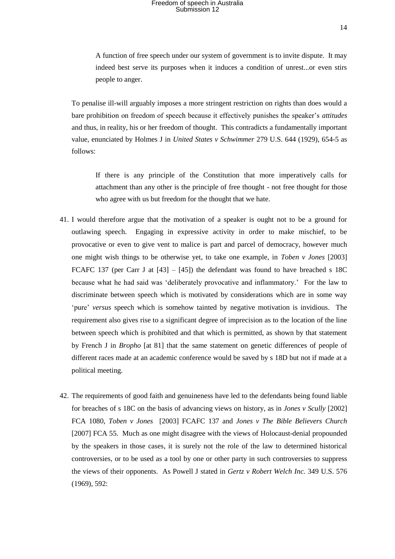A function of free speech under our system of government is to invite dispute. It may indeed best serve its purposes when it induces a condition of unrest...or even stirs people to anger.

To penalise ill-will arguably imposes a more stringent restriction on rights than does would a bare prohibition on freedom of speech because it effectively punishes the speaker's *attitudes* and thus, in reality, his or her freedom of thought. This contradicts a fundamentally important value, enunciated by Holmes J in *United States v Schwimmer* 279 U.S. 644 (1929), 654-5 as follows:

If there is any principle of the Constitution that more imperatively calls for attachment than any other is the principle of free thought - not free thought for those who agree with us but freedom for the thought that we hate.

- 41. I would therefore argue that the motivation of a speaker is ought not to be a ground for outlawing speech. Engaging in expressive activity in order to make mischief, to be provocative or even to give vent to malice is part and parcel of democracy, however much one might wish things to be otherwise yet, to take one example, in *Toben v Jones* [2003] FCAFC 137 (per Carr J at  $[43] - [45]$ ) the defendant was found to have breached s 18C because what he had said was 'deliberately provocative and inflammatory.' For the law to discriminate between speech which is motivated by considerations which are in some way 'pure' *versus* speech which is somehow tainted by negative motivation is invidious. The requirement also gives rise to a significant degree of imprecision as to the location of the line between speech which is prohibited and that which is permitted, as shown by that statement by French J in *Bropho* [at 81] that the same statement on genetic differences of people of different races made at an academic conference would be saved by s 18D but not if made at a political meeting.
- 42. The requirements of good faith and genuineness have led to the defendants being found liable for breaches of s 18C on the basis of advancing views on history, as in *Jones v Scully* [2002] FCA 1080, *Toben v Jones* [2003] FCAFC 137 and *Jones v The Bible Believers Church* [2007] FCA 55. Much as one might disagree with the views of Holocaust-denial propounded by the speakers in those cases, it is surely not the role of the law to determined historical controversies, or to be used as a tool by one or other party in such controversies to suppress the views of their opponents. As Powell J stated in *Gertz v Robert Welch Inc.* 349 U.S. 576 (1969), 592: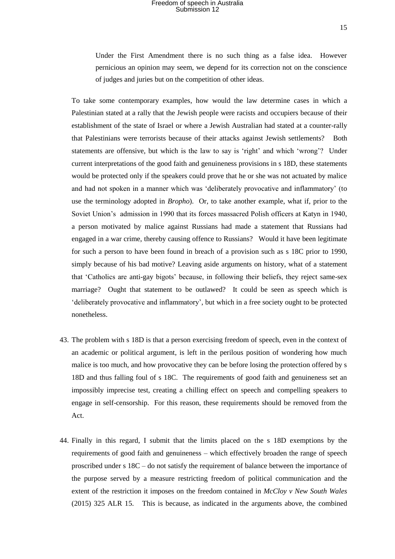Under the First Amendment there is no such thing as a false idea. However pernicious an opinion may seem, we depend for its correction not on the conscience of judges and juries but on the competition of other ideas.

To take some contemporary examples, how would the law determine cases in which a Palestinian stated at a rally that the Jewish people were racists and occupiers because of their establishment of the state of Israel or where a Jewish Australian had stated at a counter-rally that Palestinians were terrorists because of their attacks against Jewish settlements? Both statements are offensive, but which is the law to say is 'right' and which 'wrong'? Under current interpretations of the good faith and genuineness provisions in s 18D, these statements would be protected only if the speakers could prove that he or she was not actuated by malice and had not spoken in a manner which was 'deliberately provocative and inflammatory' (to use the terminology adopted in *Bropho*). Or, to take another example, what if, prior to the Soviet Union's admission in 1990 that its forces massacred Polish officers at Katyn in 1940, a person motivated by malice against Russians had made a statement that Russians had engaged in a war crime, thereby causing offence to Russians? Would it have been legitimate for such a person to have been found in breach of a provision such as s 18C prior to 1990, simply because of his bad motive? Leaving aside arguments on history, what of a statement that 'Catholics are anti-gay bigots' because, in following their beliefs, they reject same-sex marriage? Ought that statement to be outlawed? It could be seen as speech which is 'deliberately provocative and inflammatory', but which in a free society ought to be protected nonetheless.

- 43. The problem with s 18D is that a person exercising freedom of speech, even in the context of an academic or political argument, is left in the perilous position of wondering how much malice is too much, and how provocative they can be before losing the protection offered by s 18D and thus falling foul of s 18C. The requirements of good faith and genuineness set an impossibly imprecise test, creating a chilling effect on speech and compelling speakers to engage in self-censorship. For this reason, these requirements should be removed from the Act.
- 44. Finally in this regard, I submit that the limits placed on the s 18D exemptions by the requirements of good faith and genuineness – which effectively broaden the range of speech proscribed under s 18C – do not satisfy the requirement of balance between the importance of the purpose served by a measure restricting freedom of political communication and the extent of the restriction it imposes on the freedom contained in *McCloy v New South Wales* (2015) 325 ALR 15. This is because, as indicated in the arguments above, the combined